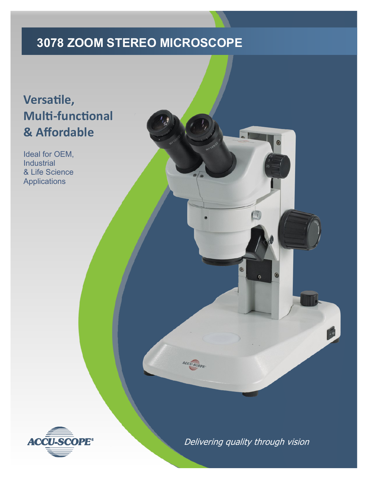## **3078 ZOOM STEREO MICROSCOPE**

## **Versatile, Multi-functional & Affordable**

Ideal for OEM, Industrial & Life Science Applications



Delivering quality through vision

 $\bullet$ 

CCU.SCOPE

 $\circ$